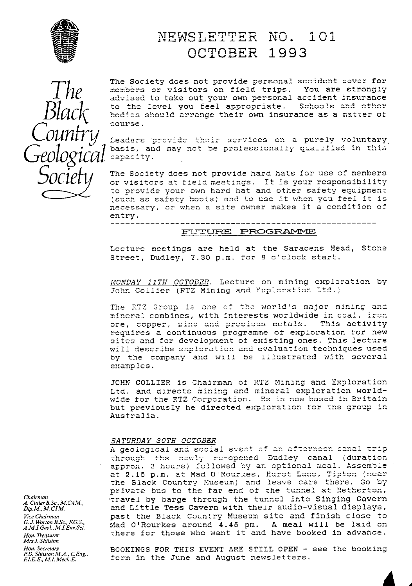

# NEWSLETTER NO. 101 OCTOBER 1993

The Society does not provide personal accident cover for members or visitors on field trips. You are strongly<br>advised to take out your own personal accident insurance to the level you feel appropriate. Schools and other bodies should arrange their own insurance as a matter of course.

Leaders provide their services on a purely voluntary basis, and may not be professionally qualified in this capacity.

The Society does not provide hard hats for use of members or visitors at field meetings. It is your responsibility to provide your own hard hat and other safety equipment (such as safety boots) and to use it when you feel it is necessary, or when a site owner makes it a condition of entry.

### FUTURE PROGRAMME

Lecture meetings are held at the Saracens Head, Stone Street, Dudley, 7.30 p.m. for 8 o'clock start.

MONDAY 11TH OCTOBER. Lecture on mining exploration by John Collier (RTZ Mining and Exploration Ltd.)

The RTZ Group is one of the world's major mining and mineral combines, with interests worldwide in coal, iron ore, copper, zinc and precious metals. This activity requires a continuous programme of exploration for new sites and for development of existing ones. This lecture will describe exploration and evaluation techniques used by the company and will be illustrated with several examples.

JOHN COLLIER is Chairman of RTZ Mining and Exploration Ltd. and directs mining and mineral exploration worldwide for the RTZ Corporation. He is now based in Britain but previously he directed exploration for the group in Australia.

#### SATURDAY 30TH OCTOBER

A geological and social event of an afternoon canal trip through the newly re-opened Dudley canal (duration approx. 2 hours) followed by an optional meal. Assemble at 2.15 p.m. at Mad O'Rourkes, Hurst Lane, Tipton (near<br>the Black Country Museum) and leave cars there. Go by private bus to the far end of the tunnel at Netherton, travel by barge through the tunnel into Singing Cavern and Little Tess Cavern with their audio-visual displays, past the Black Country Museum site and finish close to Mad O'Rourkes around 4.45 pm. A meal will be laid on there for those who want it and have booked in advance.

A. Cutler B.Sc., M.CAM.,  $Dip.M., M.CIM.$ Vice Chairman<br>G. J. Worton B.Sc., F.G.S., A.M.I.Geol., M.I.Env.Sci. Hon. Treasurer Mrs J. Shilston Hon. Secretary<br>P.D. Shilston M.A., C.Eng.,<br>F.I.E.E., M.I. Mech.E.

Chairman

BOOKINGS FOR THIS EVENT ARE STILL OPEN - see the booking form in the June and August newsletters.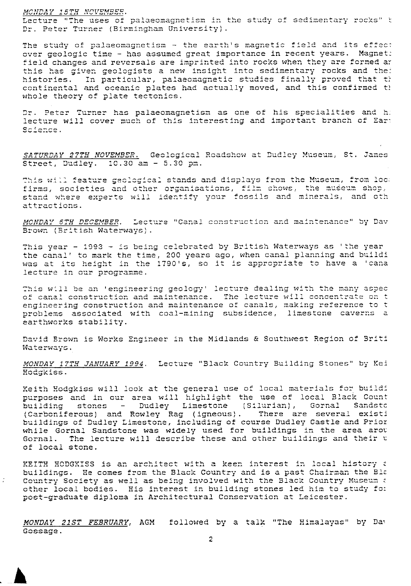### MONDAY 15TH NOVEMBER.

 $\mathcal{I}$ 

Lecture "The uses of palaeomagnetism in the study of sedimentary rocks" t Dr. Peter Turner (Birmingham University).

The study of palaeomagnetism - the earth's magnetic field and its effect over geologic time - has assumed great importance in recent years. Magnet: field changes and reversals are imprinted into rocks when they are formed ar this has given geologists a new insight into sedimentary rocks and the: histories. In particular, palaeomagnetic studies finally proved that th continental and oceanic plates had actually moved, and this confirmed th whole theory of plate tectonics.

Dr. Peter Turner has palaeomagnetism as one of his specialities and h: lecture will cover much of this interesting and important branch of Ear: Science.

SATURDAY 27TH NOVEMBER. Geological Roadshow at Dudley Museum, St. James Street, Dudley. 10.30 am - 5.30 pm.

This will feature geological stands and displays from the Museum, from loc: firms, societies and other organisations, film shows, the museum shop, stand where experts will identify your fossils and minerals, and oth attractions.

MONDAY 6TH DECEMBER. Lecture "Canal construction and maintenance" by Dav Brown (British Waterways).

This year - 1993 - is being celebrated by British Waterways as 'the year the canal' to mark the time, 200 years ago, when canal planning and buildi was at its height in the 1790's, so it is appropriate to have a 'cana lecture in our programme.

This will be an 'engineering geology' lecture dealing with the many aspec of canal construction and maintenance. The lecture will concentrate on t<br>engineering construction and maintenance of canals, making reference to t problems associated with coal-mining subsidence, limestone caverns a earthworks stability.

David Brown is Works Engineer in the Midlands & Southwest Region of Briti Waterways.

MONDAY 17TH JANUARY 1994. Lecture "Black Country Building Stones" by Kei Hodgkiss.

Keith Hodgkiss will look at the general use of local materials for buildi purposes and in our area will highlight the use of local Black Count building stones - Dudley Limestone (Silurian), Gornal Sandsto (Carboniferous) and Rowley Rag (igneous). There are several existi buildings of Dudley Limestone, including of course Dudley Castle and Prior<br>while Gornal Sandstone was widely used for buildings in the area arou<br>Gornal. The lecture will describe these and other buildings and their u of local stone.

KEITH HODGKISS is an architect with a keen interest in local history a buildings. He comes from the Black Country and is a past Chairman the Bla Country Society as well as being involved with the Black Country Museum a other local bodies. His interest in building stones led him to study for post-graduate diploma in Architectural Conservation at Leicester.

MONDAY 21ST FEBRUARY, AGM followed by a talk "The Himalayas" by Day Gossage.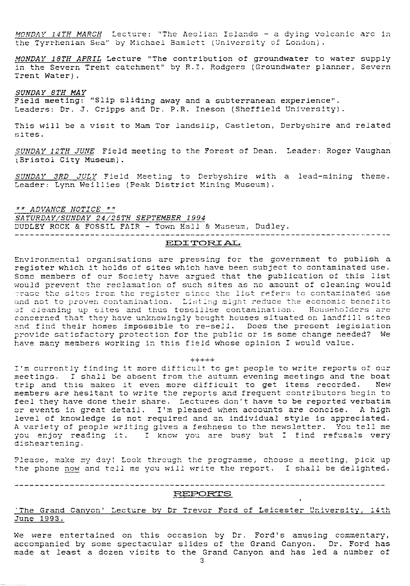MONDAY 14TH MARCH Lecture: "The Aeolian Islands - a dying volcanic arc in the Tyrrhenian Sea" by Michael Bamlett (University of London).

MONDAY 18TH APRIL Lecture "The contribution of groundwater to water supply in the Severn Trent catchment" by R.I. Rodgers (Groundwater planner, Severn Trent Water).

**SUNDAY 8TH MAY**<br>Field meeting: "Slip sliding away and a subterranean experience". Leaders: Dr. J. Cripps and Dr. P.R. Ineson (Sheffield University).

This will be a visit to Mam Tor landslip, Castleton, Derbyshire and related sites.

SUNDAY 12TH JUNE Field meeting to the Forest of Dean. Leader: Roger Vaughan (Bristol City Museum).

SUNDAY 3RD JULY Field Meeting to Derbyshire with a lead-mining theme. Leader: Lynn Weillies (Peak District Mining Museum).

\*\* ADVANCE NOTICE \*\* SATURDAY/SUNDAY 24/25TH SEPTEMBER 1994 DUDLEY ROCK & FOSSIL FAIR - Town Hall & Museum, Dudley. 

#### EDITORIAL

Environmental organisations are pressing for the government to publish a register which it holds of sites which have been subject to contaminated use. Some members of our Society have argued that the publication of this list would prevent the reclamation of such sites as no amount of cleaning would crate present the reduction of such sites as no amount of oferning would<br>crase the sites from the register since the list refers to contaminated use<br>and not to proven contamination. Listing might reduce the economic benefi concerned that they have unknowingly bought houses situated on landfill sites and find their homes impossible to re-sell. Does the present legislation provide satisfactory protection for the public or is some change needed? We have many members working in this field whose opinion I would value.

#### $+ + + + + +$

I'm currently finding it more difficult to get people to write reports of our meetings. I shall be absent from the autumn evening meetings and the boat trip and this makes it even more difficult to get items recorded. New members are hesitant to write the reports and frequent contributors begin to feel they have done their share. Lectures don't have to be reported verbatim or events in great detail. I'm pleased when accounts are concise. A high level of knowledge is not required and an individual style is appreciated. A variety of people writing gives a feshness to the newsletter. You tell me you enjoy reading it. I know you are busy but I find refusals very disheartening.

Please, make my day! Look through the programme, choose a meeting, pick up the phone now and tell me you will write the report. I shall be delighted.

#### REPORTS

#### 'The Grand Canyon' Lecture by Dr Trevor Ford of Leicester University, 14th June 1993.

We were entertained on this occasion by Dr. Ford's amusing commentary,<br>accompanied by some spectacular slides of the Grand Canyon. Dr. Ford has made at least a dozen visits to the Grand Canyon and has led a number of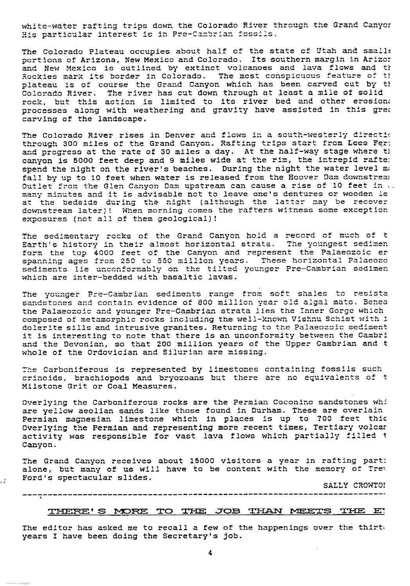white-water rafting trips down the Colorado River through the Grand Canyor white-water rarting trips down the Colorado Kiver (<br>His particular interest is in Pre-Cambrian fossils.

The Colorado Plateau occupies about half of the state of Utah and small portions of Arizona, New Mexico and Colorado. Its southern margin in Arizc: and New Mexico is outlined by extinct volcanoes and lava flows and th <sup>R</sup>ockies mark its border in Colorado. The most conspicuous feature **of** ty plateau is of course the Grand Canyon which has been carved out by th Colorado River. The river has cut down through at least a mile of solid rock, but this action is limited to its river bed and other erosion processes along with weathering and gravity have assisted in this grea carving of the landscape.

The Colorado River rises in Denver and flows in a south-westerly direction through 300 miles of the Grand Canyon. Rafting trips start from Lees Fer; and progress at the rate of 30 miles a day. At the half-way stage where the canyon is 5000 feet deep and 9 miles wide at the rim, the intrepid rafte: spend the night on the river's beaches. During the night the water level ma fall by up to 10 feet when water is released from the Hoover Dam downstrea; Outlet from the Glen Canyon Dam upstream can cause a rise of 10 feet in... many minutes and it is advisable not to leave one's dentures or wooden le at the bedside during the night (although the latter may be recover downstream later)! When morning comes the rafters witness some exception exposures (not all of them geological)!

T he sedimentary rocks **of** the Grand Canyon hold a record of much of t +^ 7.^ f history in their <sup>l</sup> horizontal ^ history iL1 tLLL. i.L almost..it <sup>c</sup>strata. tv The 13LV youngest 7o sedimen ^J<sup>t</sup> J•... L^^ en form the top 4000 feet of the Canyon and represent the Palaeozoic er<br>spanning ages from 250 to 550 million years. These horizontal Palaeozo form the top 4000 feet of the Canyon and represent the Falaeczoic entry. sediments lie unconformably from 250 to 550 million years. These horizontal Palaeoz<br>unconformably on the tilted younger Pre-Cambrian sedime which are inter-bedded with basaltic lavas. The youngest sedimentary in their almost horizontal strata. The youngest sediment<br>Form the top 4000 feet of the Canyon and represent the Palaeozoic er<br>spanning ages from 250 to 550 million years. These horizontal Palaeozoi

The younger Pre-Cambrian sediments range from soft shales to resista ing younger ing summarian Searments range from serve shares to reserve sandstones and contain evidence of 800 million year old digal mato. Bene<br>the Palaeozoic and younger Pre-Cambrian strata lies the Inner Gorge which composed of metamorphic rocks including the well-known Vishnu Schist with i the Palaeozoic and younger Pre-Cambrian strata lies the Inner Gorge which<br>composed of metamorphic rocks including the well-known Vishnu Schist with i<br>dolerite sills and intrusive granites. Returning to the Palaeozoic sedim it is interesting to note that there is an unconformity between the Cambri and the Devonian, so that 200 million years of the Upper Cambrian and t and the Devonian, so that 200 million years of<br>whole of the Ordovician and Silurian are missing.

The Carboniferous is represented by limestones containing fossils such crinoids, brachiopods and bryozoans but there are no equivalents of  $t$ Milstone Grit or Coal Measures.

Overlying the Carboniferous rocks are the Permian Coconino sandstones whi overlying the odrionfrefous focks are the fermion obsorbed sands constant are possible values of  $\alpha$ Permian magnesian limestone which in places is up to 700 feet thi $\epsilon$ Overlying the Permian and representing more recent times, Tertiary volcar activity was responsible for vast lava flows which partially filled t Canyon.

The Grand Canyon receives about 15000 visitors a year in rafting part: alone, but many of us will have to be content with the memory of Trey Ford's spectacular slides.

47

SALLY CROWTOI

## --------------------------------------------------------------------------\_

#### THERE'S MORE TO THE JOB THAN MEETS THE E

The editor has asked me to recall a few of the happenings over the thirte years I have been doing the Secretary's job.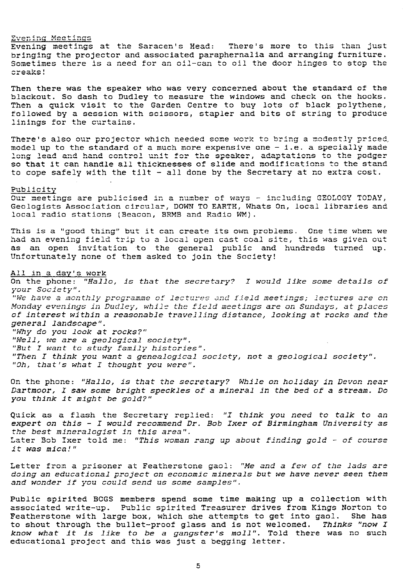Evening Meetings<br>Evening meetings at the Saracen's Head: There's more to this than just bringing the projector and associated paraphernalia and arranging furniture. Sometimes there is a need for an oil-can to oil the door hinges to stop the creaks!

Then there was the speaker who was very concerned about the standard of the blackout. So dash to Dudley to measure the windows and check on the hooks. Then a quick visit to the Garden Centre to buy lots of black polythene followed by a session with scissors, stapler and bits of string to produce linings for the curtains.

There's also our projector which needed some work to bring a modestly priced, model up to the standard of a much more expensive one  $-$  i.e. a specially made long lead and hand control unit for the speaker, adaptations to the podger so that it can handle all thicknesses of slide and modifications to the stand so that it can handle all thicknesses or slide and modifications to the star<br>to cope safely with the tilt - all done by the Secretary at no extra cost

#### Publicity

Our meetings are publicised in a number of ways - including GEOLOGY TODAY, Geologists Association circular, DOWN TO EARTH, Whats On, local libraries and local radio stations (Beacon, BRMB and Radio WM).

This is a "good thing" but it can create its own problems. One time when we had an evening field trip to a local open cast coal site, this was given out as an open invitation to the general public and hundreds turned up. Unfortunately none of them asked to join the Society!

#### All in a day's work

On the phone: *"Hello,* .is that the *secretary?* I would *like some* details *of* your Society".

your society .<br>"We have a monthly programme of lectures and field meetings; lectures are of Monday evenings in Dudley, while the field meetings are on Sundays, at places of interest within *a reasonable travelling* distance, *looking at rocks* and *the* general landscape".

"Why do you look at rocks?" "*Well,* we are a *geological* society " . "But I want *to study* family histories". "Then I think you want a genealogical society, not a geological society". "Oh, that's what I thought you were".

On the phone: *"Hallo,* is that *the secretary? While on holiday in Devon near* Dartmoor, I saw some bright speckles of a mineral in the bed of a stream. Do you think it might be gold?"

Quick as a flash the Secretary replied: "I think you need to talk to an *expert* on this - *I* would *recommend Dr.* Bob *Ixer* of Birmingham *University* as *the best mineralogist* in *this* area". Later Bob Ixer told me: "This woman rang up about finding gold - of course it was mica!"

Letter from a prisoner at Featherstone gaol: "Me and a few of the lads are doing *an education*al project on *economic minerals* but we have never seen them and wonder if you could send us some samples".

Public spirited BCGS members spend some time making up a collection with associated write-up. Public spirited Treasurer drives from Kings Norton to Featherstone with large box, which she attempts to get into gaol. She has to shout through the bullet-proof glass and is not welcomed. Thinks "now I know what it is like to be a gangster's moll". Told there was no such educational project and this was just a begging letter.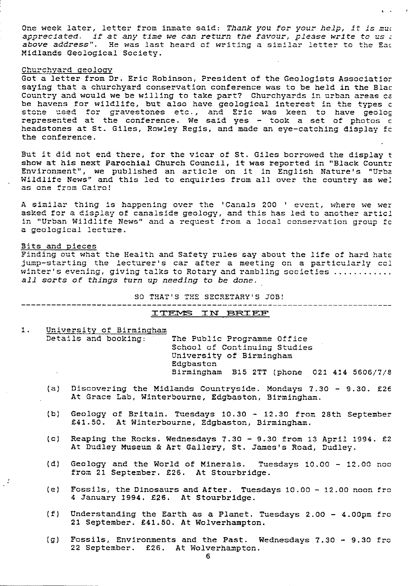One week later, letter from inmate said: *Thank you* for your *help,* it is mu: *appreciated.* if at *any time we can return the favour, please* write *to us z* a*ppreciated. if at any time we can return the favour, please write to us .*<br>a*bove address".* He was last heard of writing a similar letter to the Eas<br>...... Midlands Geological Society.

#### Churchyard geology

Got a letter from Dr. Eric Robinson, President of the Geologists Associatior saying that a churchyard conservation conference was to be held in the Black Country and would we be willing to take part? Churchyards in urban areas cz be havens for wildlife, but also have geological interest in the *types c* be havens for wildlife, but also have geological interest in the types c<br>stone used for gravestones etc., and Eric was keen to have geolog stone used for gravestones etc., and file was keen to have geolog<br>represented at the conference. We said yes - took a set of photos c headstones at St. Giles, Rowley Regis, and made an eye-catching display fo the conference.

But it did not end there, for the vicar of St. Giles borrowed the display t show at his next Parochial Church Council, it was reported in "Black Countr Environment", we published an article on it in English Nature's "Jrba Wildlife News" and this led to enquiries from all over the country as we: niidille news and<br>as one from Cairo! wildlife News" and this led to enquiries from all over the country as wel<br>as one from Cairo!<br>A similar thing is happening over the 'Canals 200 ' event, where we wer<br>asked for a display of canalside seelecy, and this bas le

asked for a display of canalside geology, and this has led to another articl in "Urban Wildlife News" and a request from a local conservation group fc a geological lecture.

#### Bits and pieces

 $\mathcal{F}$ 

Finding out what the Health and Safety rules say about the life of hard hats jump-starting the lecturer's car after a meeting on a particularly col winter's evening, giving talks to Rotary and rambling societies ............ all sorts of things turn up needing to be done.

SO THAT'S THE SECRETARY'S JOB! 2Tiny

# -------------------------<br><u>ITEMS IN BRIEF</u>

1. University of Birmingham<br>Details and booking:

The Public Programme Office Ine Fubile Frogramme Office University of Birmingham Edgbaston Birmingham B15 2TT (phone 021 414 5606/7/8

 $\sqrt{3}$  3.

- (a) Discovering the Midlands Countryside. Mondays 7.30 9.30. £26 At Grace Lab, Winterbourne, Edgbaston, Birmingham.
- (b) Geology of Britain. Tuesdays 10.30 12.30 from 28th September £41.50. At Winterbourne, Edgbaston, Birmingham.
- (c) Reaping the Rocks. Wednesdays 7.30 9.30 from 13 April 1994. £2 At Dudley Museum & Art Gallery, St. James's Road, Dudley.
- ( d) Geology and the World of Minerals. Tuesdays 10.00 12.00 nos from 21 September. £26. At Stourbridge.
- (e) Fossils, the Dinosaurs and After. Tuesdays 10.00 12.00 noon fro 4 January 1994. £26. At Stourbridge.
- (f) Understanding the Earth as a Planet. Tuesdays 2.00 4.00pm fro 21 September. £41.50. At Wolverhampton.
- (g) Fossils, Environments and the Past. Wednesdays 7.30 9.30 fro 22 September. £26. At Wolverhampton.